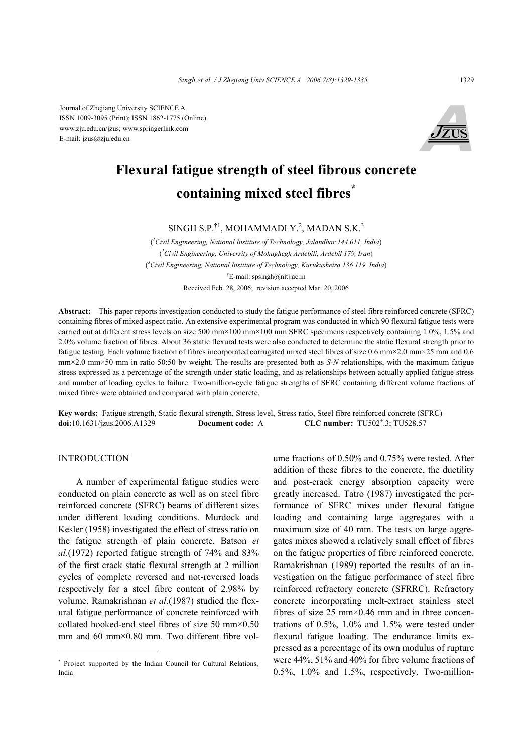Journal of Zhejiang University SCIENCE A ISSN 1009-3095 (Print); ISSN 1862-1775 (Online) www.zju.edu.cn/jzus; www.springerlink.com E-mail: jzus@zju.edu.cn



# **Flexural fatigue strength of steel fibrous concrete containing mixed steel fibres\***

SINGH S.P.<sup>†1</sup>, MOHAMMADI Y.<sup>2</sup>, MADAN S.K.<sup>3</sup>

( *1 Civil Engineering, National Institute of Technology, Jalandhar 144 011, India*) ( *2 Civil Engineering, University of Mohaghegh Ardebili, Ardebil 179, Iran*) ( *3 Civil Engineering, National Institute of Technology, Kurukushetra 136 119, India*) † E-mail: spsingh@nitj.ac.in Received Feb. 28, 2006; revision accepted Mar. 20, 2006

**Abstract:** This paper reports investigation conducted to study the fatigue performance of steel fibre reinforced concrete (SFRC) containing fibres of mixed aspect ratio. An extensive experimental program was conducted in which 90 flexural fatigue tests were carried out at different stress levels on size 500 mm×100 mm×100 mm SFRC specimens respectively containing 1.0%, 1.5% and 2.0% volume fraction of fibres. About 36 static flexural tests were also conducted to determine the static flexural strength prior to fatigue testing. Each volume fraction of fibres incorporated corrugated mixed steel fibres of size 0.6 mm×2.0 mm×25 mm and 0.6 mm×2.0 mm×50 mm in ratio 50:50 by weight. The results are presented both as *S*-*N* relationships, with the maximum fatigue stress expressed as a percentage of the strength under static loading, and as relationships between actually applied fatigue stress and number of loading cycles to failure. Two-million-cycle fatigue strengths of SFRC containing different volume fractions of mixed fibres were obtained and compared with plain concrete.

**Key words:** Fatigue strength, Static flexural strength, Stress level, Stress ratio, Steel fibre reinforced concrete (SFRC) **doi:**10.1631/jzus.2006.A1329 **Document code:** A **CLC** number: TU502<sup>+</sup>.3; TU528.57

## INTRODUCTION

A number of experimental fatigue studies were conducted on plain concrete as well as on steel fibre reinforced concrete (SFRC) beams of different sizes under different loading conditions. Murdock and Kesler (1958) investigated the effect of stress ratio on the fatigue strength of plain concrete. Batson *et al*.(1972) reported fatigue strength of 74% and 83% of the first crack static flexural strength at 2 million cycles of complete reversed and not-reversed loads respectively for a steel fibre content of 2.98% by volume. Ramakrishnan *et al*.(1987) studied the flexural fatigue performance of concrete reinforced with collated hooked-end steel fibres of size 50 mm×0.50 mm and 60 mm×0.80 mm. Two different fibre volume fractions of 0.50% and 0.75% were tested. After addition of these fibres to the concrete, the ductility and post-crack energy absorption capacity were greatly increased. Tatro (1987) investigated the performance of SFRC mixes under flexural fatigue loading and containing large aggregates with a maximum size of 40 mm. The tests on large aggregates mixes showed a relatively small effect of fibres on the fatigue properties of fibre reinforced concrete. Ramakrishnan (1989) reported the results of an investigation on the fatigue performance of steel fibre reinforced refractory concrete (SFRRC). Refractory concrete incorporating melt-extract stainless steel fibres of size  $25 \text{ mm} \times 0.46 \text{ mm}$  and in three concentrations of 0.5%, 1.0% and 1.5% were tested under flexural fatigue loading. The endurance limits expressed as a percentage of its own modulus of rupture were 44%, 51% and 40% for fibre volume fractions of 0.5%, 1.0% and 1.5%, respectively. Two-million-

<sup>\*</sup> Project supported by the Indian Council for Cultural Relations, India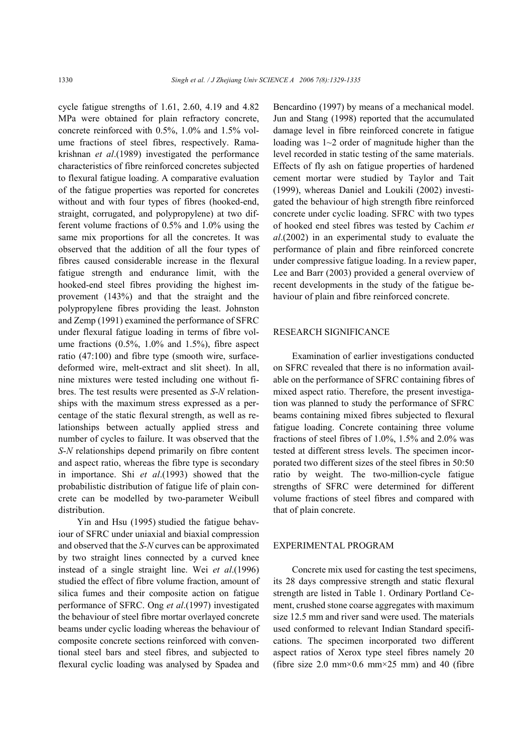cycle fatigue strengths of 1.61, 2.60, 4.19 and 4.82 MPa were obtained for plain refractory concrete, concrete reinforced with 0.5%, 1.0% and 1.5% volume fractions of steel fibres, respectively. Ramakrishnan *et al*.(1989) investigated the performance characteristics of fibre reinforced concretes subjected to flexural fatigue loading. A comparative evaluation of the fatigue properties was reported for concretes without and with four types of fibres (hooked-end, straight, corrugated, and polypropylene) at two different volume fractions of 0.5% and 1.0% using the same mix proportions for all the concretes. It was observed that the addition of all the four types of fibres caused considerable increase in the flexural fatigue strength and endurance limit, with the hooked-end steel fibres providing the highest improvement (143%) and that the straight and the polypropylene fibres providing the least. Johnston and Zemp (1991) examined the performance of SFRC under flexural fatigue loading in terms of fibre volume fractions (0.5%, 1.0% and 1.5%), fibre aspect ratio (47:100) and fibre type (smooth wire, surfacedeformed wire, melt-extract and slit sheet). In all, nine mixtures were tested including one without fibres. The test results were presented as *S*-*N* relationships with the maximum stress expressed as a percentage of the static flexural strength, as well as relationships between actually applied stress and number of cycles to failure. It was observed that the *S*-*N* relationships depend primarily on fibre content and aspect ratio, whereas the fibre type is secondary in importance. Shi *et al*.(1993) showed that the probabilistic distribution of fatigue life of plain concrete can be modelled by two-parameter Weibull distribution.

Yin and Hsu (1995) studied the fatigue behaviour of SFRC under uniaxial and biaxial compression and observed that the *S*-*N* curves can be approximated by two straight lines connected by a curved knee instead of a single straight line. Wei *et al*.(1996) studied the effect of fibre volume fraction, amount of silica fumes and their composite action on fatigue performance of SFRC. Ong *et al*.(1997) investigated the behaviour of steel fibre mortar overlayed concrete beams under cyclic loading whereas the behaviour of composite concrete sections reinforced with conventional steel bars and steel fibres, and subjected to flexural cyclic loading was analysed by Spadea and Bencardino (1997) by means of a mechanical model. Jun and Stang (1998) reported that the accumulated damage level in fibre reinforced concrete in fatigue loading was 1~2 order of magnitude higher than the level recorded in static testing of the same materials. Effects of fly ash on fatigue properties of hardened cement mortar were studied by Taylor and Tait (1999), whereas Daniel and Loukili (2002) investigated the behaviour of high strength fibre reinforced concrete under cyclic loading. SFRC with two types of hooked end steel fibres was tested by Cachim *et al*.(2002) in an experimental study to evaluate the performance of plain and fibre reinforced concrete under compressive fatigue loading. In a review paper, Lee and Barr (2003) provided a general overview of recent developments in the study of the fatigue behaviour of plain and fibre reinforced concrete.

#### RESEARCH SIGNIFICANCE

Examination of earlier investigations conducted on SFRC revealed that there is no information available on the performance of SFRC containing fibres of mixed aspect ratio. Therefore, the present investigation was planned to study the performance of SFRC beams containing mixed fibres subjected to flexural fatigue loading. Concrete containing three volume fractions of steel fibres of 1.0%, 1.5% and 2.0% was tested at different stress levels. The specimen incorporated two different sizes of the steel fibres in 50:50 ratio by weight. The two-million-cycle fatigue strengths of SFRC were determined for different volume fractions of steel fibres and compared with that of plain concrete.

### EXPERIMENTAL PROGRAM

Concrete mix used for casting the test specimens, its 28 days compressive strength and static flexural strength are listed in Table 1. Ordinary Portland Cement, crushed stone coarse aggregates with maximum size 12.5 mm and river sand were used. The materials used conformed to relevant Indian Standard specifications. The specimen incorporated two different aspect ratios of Xerox type steel fibres namely 20 (fibre size 2.0 mm $\times$ 0.6 mm $\times$ 25 mm) and 40 (fibre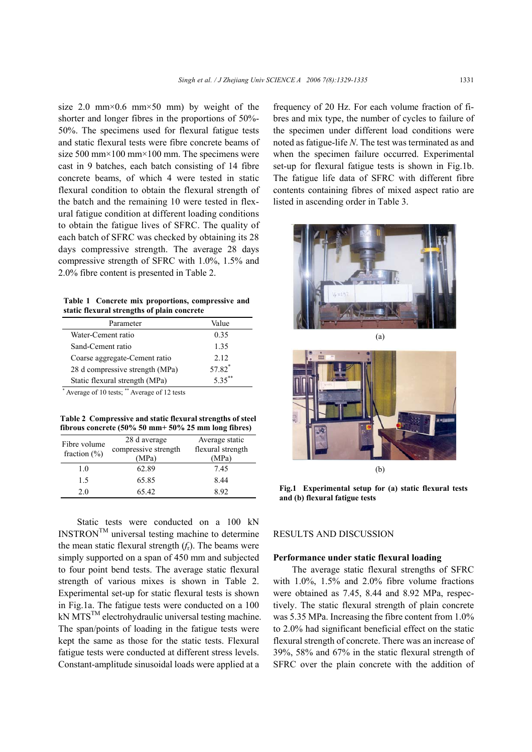size 2.0 mm×0.6 mm×50 mm) by weight of the shorter and longer fibres in the proportions of 50%- 50%. The specimens used for flexural fatigue tests and static flexural tests were fibre concrete beams of size 500 mm $\times$ 100 mm $\times$ 100 mm. The specimens were cast in 9 batches, each batch consisting of 14 fibre concrete beams, of which 4 were tested in static flexural condition to obtain the flexural strength of the batch and the remaining 10 were tested in flexural fatigue condition at different loading conditions to obtain the fatigue lives of SFRC. The quality of each batch of SFRC was checked by obtaining its 28 days compressive strength. The average 28 days compressive strength of SFRC with 1.0%, 1.5% and 2.0% fibre content is presented in Table 2.

**Table 1 Concrete mix proportions, compressive and static flexural strengths of plain concrete** 

| Parameter                       | Value              |
|---------------------------------|--------------------|
| Water-Cement ratio              | 0.35               |
| Sand-Cement ratio               | 1.35               |
| Coarse aggregate-Cement ratio   | 2.12               |
| 28 d compressive strength (MPa) | 57.82 <sup>*</sup> |
| Static flexural strength (MPa)  | $5.35***$          |

\* Average of 10 tests; \*\* Average of 12 tests

**Table 2 Compressive and static flexural strengths of steel fibrous concrete (50% 50 mm+ 50% 25 mm long fibres)** 

| Fibre volume<br>fraction $(\% )$ | 28 d average<br>compressive strength<br>(MPa) | Average static<br>flexural strength<br>(MPa) |
|----------------------------------|-----------------------------------------------|----------------------------------------------|
| 1.0                              | 62.89                                         | 7.45                                         |
| 15                               | 65.85                                         | 8.44                                         |
| 2.0                              | 65.42                                         | 892                                          |

Static tests were conducted on a 100 kN  $INSTRON^{TM}$  universal testing machine to determine the mean static flexural strength  $(f_r)$ . The beams were simply supported on a span of 450 mm and subjected to four point bend tests. The average static flexural strength of various mixes is shown in Table 2. Experimental set-up for static flexural tests is shown in Fig.1a. The fatigue tests were conducted on a 100  $kN MTS^{TM}$  electrohydraulic universal testing machine. The span/points of loading in the fatigue tests were kept the same as those for the static tests. Flexural fatigue tests were conducted at different stress levels. Constant-amplitude sinusoidal loads were applied at a

frequency of 20 Hz. For each volume fraction of fibres and mix type, the number of cycles to failure of the specimen under different load conditions were noted as fatigue-life *N*. The test was terminated as and when the specimen failure occurred. Experimental set-up for flexural fatigue tests is shown in Fig.1b. The fatigue life data of SFRC with different fibre contents containing fibres of mixed aspect ratio are listed in ascending order in Table 3.





**Fig.1 Experimental setup for (a) static flexural tests and (b) flexural fatigue tests** 

## RESULTS AND DISCUSSION

## **Performance under static flexural loading**

The average static flexural strengths of SFRC with 1.0%, 1.5% and 2.0% fibre volume fractions were obtained as 7.45, 8.44 and 8.92 MPa, respectively. The static flexural strength of plain concrete was 5.35 MPa. Increasing the fibre content from 1.0% to 2.0% had significant beneficial effect on the static flexural strength of concrete. There was an increase of 39%, 58% and 67% in the static flexural strength of SFRC over the plain concrete with the addition of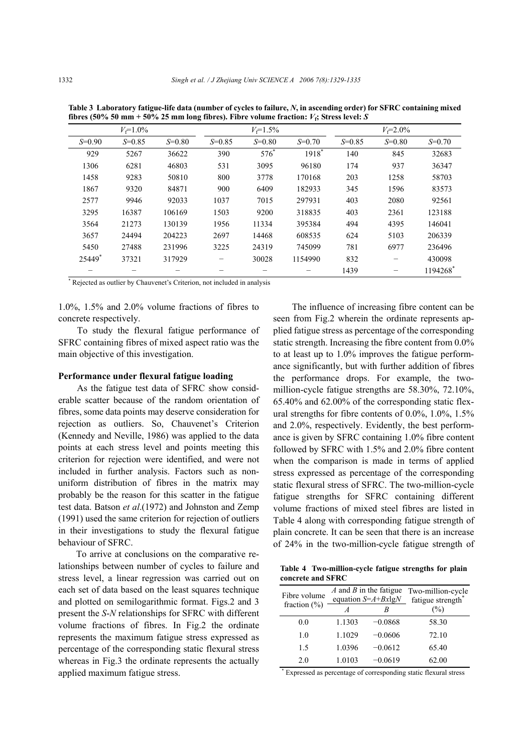|          | $V = 1.0\%$ |            |            | $V = 1.5\%$ |          |            | $V_f = 2.0\%$ |          |
|----------|-------------|------------|------------|-------------|----------|------------|---------------|----------|
| $S=0.90$ | $S = 0.85$  | $S = 0.80$ | $S = 0.85$ | $S = 0.80$  | $S=0.70$ | $S = 0.85$ | $S=0.80$      | $S=0.70$ |
| 929      | 5267        | 36622      | 390        | $576^*$     | 1918*    | 140        | 845           | 32683    |
| 1306     | 6281        | 46803      | 531        | 3095        | 96180    | 174        | 937           | 36347    |
| 1458     | 9283        | 50810      | 800        | 3778        | 170168   | 203        | 1258          | 58703    |
| 1867     | 9320        | 84871      | 900        | 6409        | 182933   | 345        | 1596          | 83573    |
| 2577     | 9946        | 92033      | 1037       | 7015        | 297931   | 403        | 2080          | 92561    |
| 3295     | 16387       | 106169     | 1503       | 9200        | 318835   | 403        | 2361          | 123188   |
| 3564     | 21273       | 130139     | 1956       | 11334       | 395384   | 494        | 4395          | 146041   |
| 3657     | 24494       | 204223     | 2697       | 14468       | 608535   | 624        | 5103          | 206339   |
| 5450     | 27488       | 231996     | 3225       | 24319       | 745099   | 781        | 6977          | 236496   |
| 25449*   | 37321       | 317929     |            | 30028       | 1154990  | 832        |               | 430098   |
|          |             |            |            |             |          | 1439       |               | 1194268  |

**Table 3 Laboratory fatigue-life data (number of cycles to failure,** *N***, in ascending order) for SFRC containing mixed fibres (50% 50 mm + 50% 25 mm long fibres). Fibre volume fraction:** *V***f; Stress level:** *S*

\* Rejected as outlier by Chauvenet's Criterion, not included in analysis

1.0%, 1.5% and 2.0% volume fractions of fibres to concrete respectively.

To study the flexural fatigue performance of SFRC containing fibres of mixed aspect ratio was the main objective of this investigation.

## **Performance under flexural fatigue loading**

As the fatigue test data of SFRC show considerable scatter because of the random orientation of fibres, some data points may deserve consideration for rejection as outliers. So, Chauvenet's Criterion (Kennedy and Neville, 1986) was applied to the data points at each stress level and points meeting this criterion for rejection were identified, and were not included in further analysis. Factors such as nonuniform distribution of fibres in the matrix may probably be the reason for this scatter in the fatigue test data. Batson *et al*.(1972) and Johnston and Zemp (1991) used the same criterion for rejection of outliers in their investigations to study the flexural fatigue behaviour of SFRC.

To arrive at conclusions on the comparative relationships between number of cycles to failure and stress level, a linear regression was carried out on each set of data based on the least squares technique and plotted on semilogarithmic format. Figs.2 and 3 present the *S*-*N* relationships for SFRC with different volume fractions of fibres. In Fig.2 the ordinate represents the maximum fatigue stress expressed as percentage of the corresponding static flexural stress whereas in Fig.3 the ordinate represents the actually applied maximum fatigue stress.

The influence of increasing fibre content can be seen from Fig.2 wherein the ordinate represents applied fatigue stress as percentage of the corresponding static strength. Increasing the fibre content from 0.0% to at least up to 1.0% improves the fatigue performance significantly, but with further addition of fibres the performance drops. For example, the twomillion-cycle fatigue strengths are 58.30%, 72.10%, 65.40% and 62.00% of the corresponding static flexural strengths for fibre contents of 0.0%, 1.0%, 1.5% and 2.0%, respectively. Evidently, the best performance is given by SFRC containing 1.0% fibre content followed by SFRC with 1.5% and 2.0% fibre content when the comparison is made in terms of applied stress expressed as percentage of the corresponding static flexural stress of SFRC. The two-million-cycle fatigue strengths for SFRC containing different volume fractions of mixed steel fibres are listed in Table 4 along with corresponding fatigue strength of plain concrete. It can be seen that there is an increase of 24% in the two-million-cycle fatigue strength of

| Table 4 Two-million-cycle fatigue strengths for plain |  |  |
|-------------------------------------------------------|--|--|
| concrete and SFRC                                     |  |  |

| Fibre volume     |        | $A$ and $B$ in the fatigue<br>equation $S = A + Bx \lg N$ | Two-million-cycle<br>fatigue strength |  |  |
|------------------|--------|-----------------------------------------------------------|---------------------------------------|--|--|
| fraction $(\% )$ |        |                                                           | (%)                                   |  |  |
| 0.0              | 1.1303 | $-0.0868$                                                 | 58.30                                 |  |  |
| 1.0              | 1.1029 | $-0.0606$                                                 | 72.10                                 |  |  |
| 15               | 1.0396 | $-0.0612$                                                 | 65.40                                 |  |  |
| 2.0              | 1.0103 | $-0.0619$                                                 | 62.00                                 |  |  |

\* Expressed as percentage of corresponding static flexural stress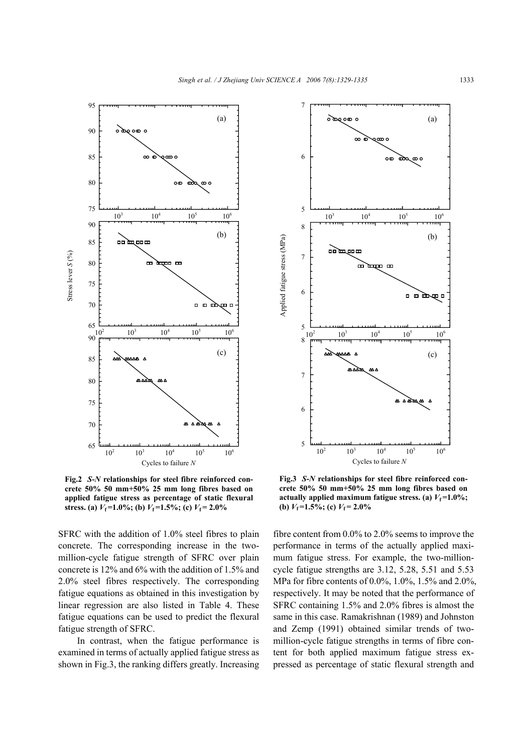

**Fig.2** *S***-***N* **relationships for steel fibre reinforced concrete 50% 50 mm+50% 25 mm long fibres based on applied fatigue stress as percentage of static flexural stress.** (a)  $V_f$ =1.0%; (b)  $V_f$ =1.5%; (c)  $V_f$ = 2.0%

SFRC with the addition of 1.0% steel fibres to plain concrete. The corresponding increase in the twomillion-cycle fatigue strength of SFRC over plain concrete is 12% and 6% with the addition of 1.5% and 2.0% steel fibres respectively. The corresponding fatigue equations as obtained in this investigation by linear regression are also listed in Table 4. These fatigue equations can be used to predict the flexural fatigue strength of SFRC.

In contrast, when the fatigue performance is examined in terms of actually applied fatigue stress as shown in Fig.3, the ranking differs greatly. Increasing



**Fig.3** *S***-***N* **relationships for steel fibre reinforced concrete 50% 50 mm+50% 25 mm long fibres based on actually applied maximum fatigue stress. (a)**  $V_f = 1.0\%$ **; (b)**  $V_f = 1.5\%$ ; **(c)**  $V_f = 2.0\%$ 

fibre content from 0.0% to 2.0% seems to improve the performance in terms of the actually applied maximum fatigue stress. For example, the two-millioncycle fatigue strengths are 3.12, 5.28, 5.51 and 5.53 MPa for fibre contents of 0.0%, 1.0%, 1.5% and 2.0%, respectively. It may be noted that the performance of SFRC containing 1.5% and 2.0% fibres is almost the same in this case. Ramakrishnan (1989) and Johnston and Zemp (1991) obtained similar trends of twomillion-cycle fatigue strengths in terms of fibre content for both applied maximum fatigue stress expressed as percentage of static flexural strength and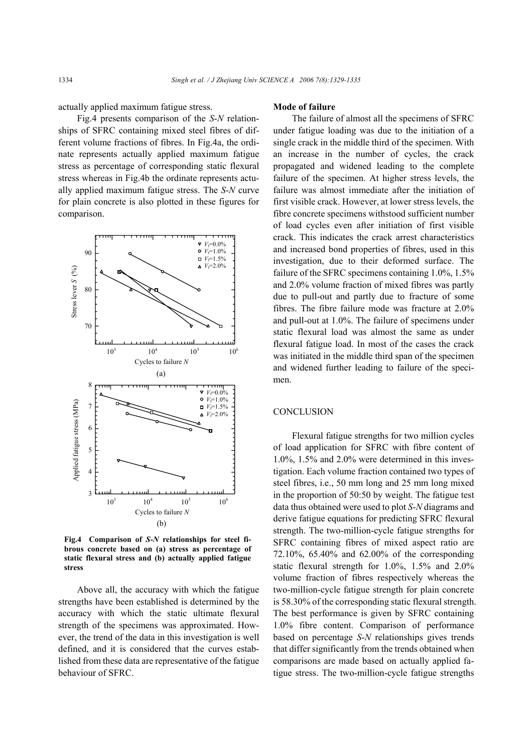actually applied maximum fatigue stress.

Fig.4 presents comparison of the *S*-*N* relationships of SFRC containing mixed steel fibres of different volume fractions of fibres. In Fig.4a, the ordinate represents actually applied maximum fatigue stress as percentage of corresponding static flexural stress whereas in Fig.4b the ordinate represents actually applied maximum fatigue stress. The *S*-*N* curve for plain concrete is also plotted in these figures for comparison.



**Fig.4 Comparison of** *S***-***N* **relationships for steel fibrous concrete based on (a) stress as percentage of static flexural stress and (b) actually applied fatigue stress** 

Above all, the accuracy with which the fatigue strengths have been established is determined by the accuracy with which the static ultimate flexural strength of the specimens was approximated. However, the trend of the data in this investigation is well defined, and it is considered that the curves established from these data are representative of the fatigue behaviour of SFRC.

## **Mode of failure**

The failure of almost all the specimens of SFRC under fatigue loading was due to the initiation of a single crack in the middle third of the specimen. With an increase in the number of cycles, the crack propagated and widened leading to the complete failure of the specimen. At higher stress levels, the failure was almost immediate after the initiation of first visible crack. However, at lower stress levels, the fibre concrete specimens withstood sufficient number of load cycles even after initiation of first visible crack. This indicates the crack arrest characteristics and increased bond properties of fibres, used in this investigation, due to their deformed surface. The failure of the SFRC specimens containing 1.0%, 1.5% and 2.0% volume fraction of mixed fibres was partly due to pull-out and partly due to fracture of some fibres. The fibre failure mode was fracture at 2.0% and pull-out at 1.0%. The failure of specimens under static flexural load was almost the same as under flexural fatigue load. In most of the cases the crack was initiated in the middle third span of the specimen and widened further leading to failure of the specimen.

## **CONCLUSION**

Flexural fatigue strengths for two million cycles of load application for SFRC with fibre content of 1.0%, 1.5% and 2.0% were determined in this investigation. Each volume fraction contained two types of steel fibres, i.e., 50 mm long and 25 mm long mixed in the proportion of 50:50 by weight. The fatigue test data thus obtained were used to plot *S*-*N* diagrams and derive fatigue equations for predicting SFRC flexural strength. The two-million-cycle fatigue strengths for SFRC containing fibres of mixed aspect ratio are 72.10%, 65.40% and 62.00% of the corresponding static flexural strength for 1.0%, 1.5% and 2.0% volume fraction of fibres respectively whereas the two-million-cycle fatigue strength for plain concrete is 58.30% of the corresponding static flexural strength. The best performance is given by SFRC containing 1.0% fibre content. Comparison of performance based on percentage *S*-*N* relationships gives trends that differ significantly from the trends obtained when comparisons are made based on actually applied fatigue stress. The two-million-cycle fatigue strengths